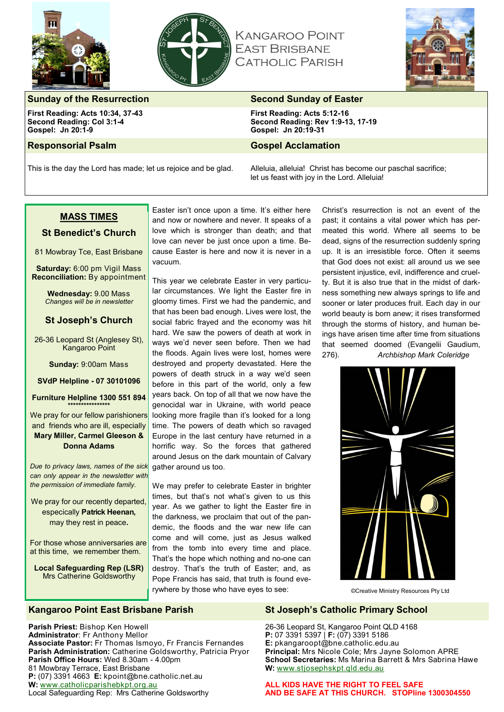



**KANGAROO POINT EAST BRISBANE CATHOLIC PARISH** 



# **Sunday of the Resurrection Second Sunday of Easter Second Sunday of Easter**

**First Reading: Acts 10:34, 37-43 Second Reading: Col 3:1-4 Gospel: Jn 20:1-9**

#### **Responsorial Psalm Gospel Acclamation**

**First Reading: Acts 5:12-16 Second Reading: Rev 1:9-13, 17-19 Gospel: Jn 20:19-31**

This is the day the Lord has made; let us rejoice and be glad. Alleluia, alleluia! Christ has become our paschal sacrifice; let us feast with joy in the Lord. Alleluia!

# **MASS TIMES**

#### **St Benedict's Church**

81 Mowbray Tce, East Brisbane

**Saturday:** 6:00 pm Vigil Mass **Reconciliation:** By appointment

> **Wednesday:** 9.00 Mass *Changes will be in newsletter*

# **St Joseph's Church**

26-36 Leopard St (Anglesey St), Kangaroo Point

**Sunday:** 9:00am Mass

#### **SVdP Helpline - 07 30101096**

#### **Furniture Helpline 1300 551 894 \*\*\*\*\*\*\*\*\*\*\*\*\*\*\*\***

We pray for our fellow parishioners and friends who are ill, especially

#### **Mary Miller, Carmel Gleeson & Donna Adams**

*Due to privacy laws, names of the sick can only appear in the newsletter with the permission of immediate family.*

We pray for our recently departed, especically **Patrick Heenan,** may they rest in peace**.**

For those whose anniversaries are at this time, we remember them.

**Local Safeguarding Rep (LSR)** Mrs Catherine Goldsworthy

**Parish Priest:** Bishop Ken Howell **Administrator**: Fr Anthony Mellor

81 Mowbray Terrace, East Brisbane

**W:** [www.catholicparishebkpt.org.au](http://www.catholicparishebkpt.org.au)

Easter isn't once upon a time. It's either here and now or nowhere and never. It speaks of a love which is stronger than death; and that love can never be just once upon a time. Because Easter is here and now it is never in a vacuum.

This year we celebrate Easter in very particular circumstances. We light the Easter fire in gloomy times. First we had the pandemic, and that has been bad enough. Lives were lost, the social fabric frayed and the economy was hit hard. We saw the powers of death at work in ways we'd never seen before. Then we had the floods. Again lives were lost, homes were destroyed and property devastated. Here the powers of death struck in a way we'd seen before in this part of the world, only a few years back. On top of all that we now have the genocidal war in Ukraine, with world peace looking more fragile than it's looked for a long time. The powers of death which so ravaged Europe in the last century have returned in a horrific way. So the forces that gathered around Jesus on the dark mountain of Calvary gather around us too.

We may prefer to celebrate Easter in brighter times, but that's not what's given to us this year. As we gather to light the Easter fire in the darkness, we proclaim that out of the pandemic, the floods and the war new life can come and will come, just as Jesus walked from the tomb into every time and place. That's the hope which nothing and no-one can destroy. That's the truth of Easter; and, as Pope Francis has said, that truth is found everywhere by those who have eyes to see:

Christ's resurrection is not an event of the past; it contains a vital power which has permeated this world. Where all seems to be dead, signs of the resurrection suddenly spring up. It is an irresistible force. Often it seems that God does not exist: all around us we see persistent injustice, evil, indifference and cruelty. But it is also true that in the midst of darkness something new always springs to life and sooner or later produces fruit. Each day in our world beauty is born anew; it rises transformed through the storms of history, and human beings have arisen time after time from situations that seemed doomed (Evangelii Gaudium,





©Creative Ministry Resources Pty Ltd

**Parish Office Hours:** Wed 8.30am - 4.00pm

**P:** (07) 3391 4663 **E:** kpoint@bne.catholic.net.au

Local Safeguarding Rep: Mrs Catherine Goldsworthy

**Associate Pastor:** Fr Thomas Ismoyo, Fr Francis Fernandes **Parish Administration:** Catherine Goldsworthy, Patricia Pryor

# **Kangaroo Point East Brisbane Parish St Joseph's Catholic Primary School**

26-36 Leopard St, Kangaroo Point QLD 4168 **P:** 07 3391 5397 | **F:** (07) 3391 5186 **E:** pkangaroopt@bne.catholic.edu.au **Principal:** Mrs Nicole Cole; Mrs Jayne Solomon APRE **School Secretaries:** Ms Marina Barrett & Mrs Sabrina Hawe **W:** [www.stjosephskpt.qld.edu.au](http://www.stjosephskpt.qld.edu.au)

**ALL KIDS HAVE THE RIGHT TO FEEL SAFE AND BE SAFE AT THIS CHURCH. STOPline 1300304550**